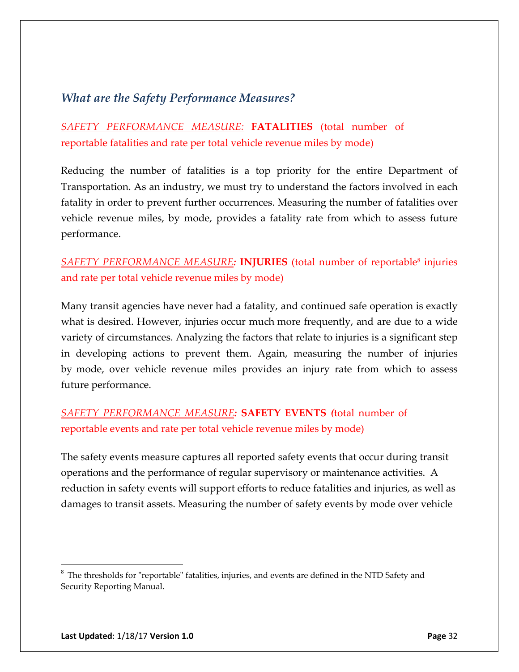## *What are the Safety Performance Measures?*

*SAFETY PERFORMANCE MEASURE:* **FATALITIES** (total number of reportable fatalities and rate per total vehicle revenue miles by mode)

Reducing the number of fatalities is a top priority for the entire Department of Transportation. As an industry, we must try to understand the factors involved in each fatality in order to prevent further occurrences. Measuring the number of fatalities over vehicle revenue miles, by mode, provides a fatality rate from which to assess future performance.

*SAFETY PERFORMANCE MEASURE:* **INJURIES** (total number of reportable<sup>8</sup> injuries and rate per total vehicle revenue miles by mode)

Many transit agencies have never had a fatality, and continued safe operation is exactly what is desired. However, injuries occur much more frequently, and are due to a wide variety of circumstances. Analyzing the factors that relate to injuries is a significant step in developing actions to prevent them. Again, measuring the number of injuries by mode, over vehicle revenue miles provides an injury rate from which to assess future performance.

## *SAFETY PERFORMANCE MEASURE:* **SAFETY EVENTS** *(*total number of reportable events and rate per total vehicle revenue miles by mode)

The safety events measure captures all reported safety events that occur during transit operations and the performance of regular supervisory or maintenance activities. A reduction in safety events will support efforts to reduce fatalities and injuries, as well as damages to transit assets. Measuring the number of safety events by mode over vehicle

 $8$  The thresholds for "reportable" fatalities, injuries, and events are defined in the NTD Safety and Security Reporting Manual.